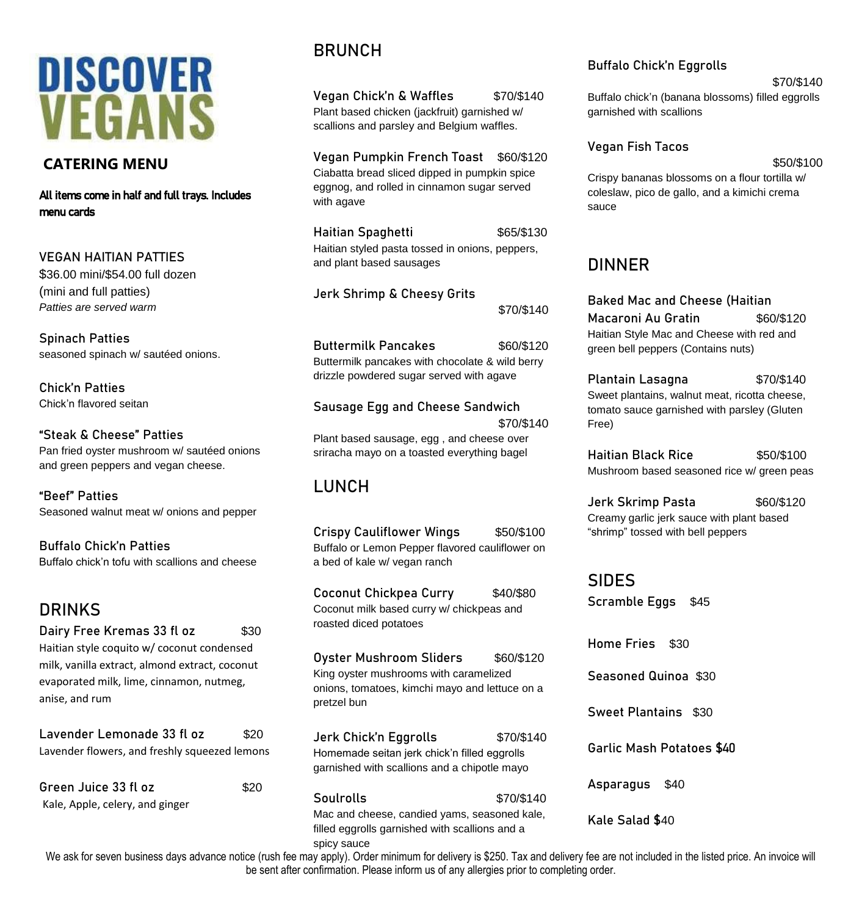# **DISCOVER VEGANS**

#### **CATERING MENU**

All items come in half and full trays. Includes menu cards

**VEGAN HAITIAN PATTIES** \$36.00 mini/\$54.00 full dozen (mini and full patties) *Patties are served warm*

**Spinach Patties** seasoned spinach w/ sautéed onions.

**Chick'n Patties** Chick'n flavored seitan

**"Steak & Cheese" Patties** Pan fried oyster mushroom w/ sautéed onions and green peppers and vegan cheese.

**"Beef" Patties** Seasoned walnut meat w/ onions and pepper

**Buffalo Chick'n Patties** Buffalo chick'n tofu with scallions and cheese

## **DRINKS**

**Dairy Free Kremas 33 fl oz \$30** Haitian style coquito w/ coconut condensed milk, vanilla extract, almond extract, coconut evaporated milk, lime, cinnamon, nutmeg, anise, and rum

| Lavender Lemonade 33 fl oz                    | \$20 |
|-----------------------------------------------|------|
| Lavender flowers, and freshly squeezed lemons |      |
|                                               |      |

| Green Juice 33 fl oz            | \$20 |
|---------------------------------|------|
| Kale, Apple, celery, and ginger |      |

## **BRUNCH**

**Vegan Chick'n & Waffles \$70/\$140** Plant based chicken (jackfruit) garnished w/ scallions and parsley and Belgium waffles.

**Vegan Pumpkin French Toast** \$60/\$120 Ciabatta bread sliced dipped in pumpkin spice eggnog, and rolled in cinnamon sugar served with agave

**Haitian Spaghetti 565/\$130** Haitian styled pasta tossed in onions, peppers, and plant based sausages

**Jerk Shrimp & Cheesy Grits**  \$70/\$140

**Buttermilk Pancakes** \$60/\$120 Buttermilk pancakes with chocolate & wild berry drizzle powdered sugar served with agave

**Sausage Egg and Cheese Sandwich** \$70/\$140 Plant based sausage, egg , and cheese over sriracha mayo on a toasted everything bagel

## **LUNCH**

**Crispy Cauliflower Wings** \$50/\$100 Buffalo or Lemon Pepper flavored cauliflower on a bed of kale w/ vegan ranch

**Coconut Chickpea Curry** \$40/\$80 Coconut milk based curry w/ chickpeas and roasted diced potatoes

**Oyster Mushroom Sliders** \$60/\$120 King oyster mushrooms with caramelized onions, tomatoes, kimchi mayo and lettuce on a pretzel bun

**Jerk Chick'n Eggrolls** \$70/\$140 Homemade seitan jerk chick'n filled eggrolls garnished with scallions and a chipotle mayo

**Soulrolls** \$70/\$140 Mac and cheese, candied yams, seasoned kale, filled eggrolls garnished with scallions and a spicy sauce

#### **Buffalo Chick'n Eggrolls**

\$70/\$140

Buffalo chick'n (banana blossoms) filled eggrolls garnished with scallions

#### **Vegan Fish Tacos**

#### \$50/\$100

Crispy bananas blossoms on a flour tortilla w/ coleslaw, pico de gallo, and a kimichi crema sauce

## **DINNER**

**Baked Mac and Cheese (Haitian Macaroni Au Gratin** \$60/\$120 Haitian Style Mac and Cheese with red and green bell peppers (Contains nuts)

**Plantain Lasagna** \$70/\$140 Sweet plantains, walnut meat, ricotta cheese, tomato sauce garnished with parsley (Gluten Free)

**Haitian Black Rice** \$50/\$100 Mushroom based seasoned rice w/ green peas

**Jerk Skrimp Pasta** \$60/\$120 Creamy garlic jerk sauce with plant based "shrimp" tossed with bell peppers

**SIDES Scramble Eggs** \$45

**Home Fries** \$30 **Seasoned Quinoa** \$30 **Sweet Plantains** \$30 **Garlic Mash Potatoes** \$40 **Asparagus** \$40

**Kale Salad \$**40

We ask for seven business days advance notice (rush fee may apply). Order minimum for delivery is \$250. Tax and delivery fee are not included in the listed price. An invoice will be sent after confirmation. Please inform us of any allergies prior to completing order.